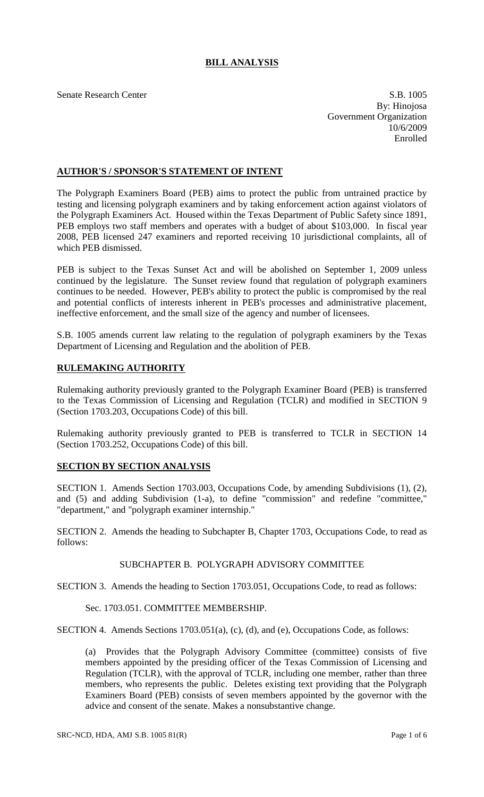# **BILL ANALYSIS**

Senate Research Center S.B. 1005 By: Hinojosa Government Organization 10/6/2009 Enrolled

## **AUTHOR'S / SPONSOR'S STATEMENT OF INTENT**

The Polygraph Examiners Board (PEB) aims to protect the public from untrained practice by testing and licensing polygraph examiners and by taking enforcement action against violators of the Polygraph Examiners Act. Housed within the Texas Department of Public Safety since 1891, PEB employs two staff members and operates with a budget of about \$103,000. In fiscal year 2008, PEB licensed 247 examiners and reported receiving 10 jurisdictional complaints, all of which PEB dismissed.

PEB is subject to the Texas Sunset Act and will be abolished on September 1, 2009 unless continued by the legislature. The Sunset review found that regulation of polygraph examiners continues to be needed. However, PEB's ability to protect the public is compromised by the real and potential conflicts of interests inherent in PEB's processes and administrative placement, ineffective enforcement, and the small size of the agency and number of licensees.

S.B. 1005 amends current law relating to the regulation of polygraph examiners by the Texas Department of Licensing and Regulation and the abolition of PEB.

# **RULEMAKING AUTHORITY**

Rulemaking authority previously granted to the Polygraph Examiner Board (PEB) is transferred to the Texas Commission of Licensing and Regulation (TCLR) and modified in SECTION 9 (Section 1703.203, Occupations Code) of this bill.

Rulemaking authority previously granted to PEB is transferred to TCLR in SECTION 14 (Section 1703.252, Occupations Code) of this bill.

### **SECTION BY SECTION ANALYSIS**

SECTION 1. Amends Section 1703.003, Occupations Code, by amending Subdivisions (1), (2), and (5) and adding Subdivision (1-a), to define "commission" and redefine "committee," "department," and "polygraph examiner internship."

SECTION 2. Amends the heading to Subchapter B, Chapter 1703, Occupations Code, to read as follows:

### SUBCHAPTER B. POLYGRAPH ADVISORY COMMITTEE

SECTION 3. Amends the heading to Section 1703.051, Occupations Code, to read as follows:

#### Sec. 1703.051. COMMITTEE MEMBERSHIP.

SECTION 4. Amends Sections 1703.051(a), (c), (d), and (e), Occupations Code, as follows:

(a) Provides that the Polygraph Advisory Committee (committee) consists of five members appointed by the presiding officer of the Texas Commission of Licensing and Regulation (TCLR), with the approval of TCLR, including one member, rather than three members, who represents the public. Deletes existing text providing that the Polygraph Examiners Board (PEB) consists of seven members appointed by the governor with the advice and consent of the senate. Makes a nonsubstantive change.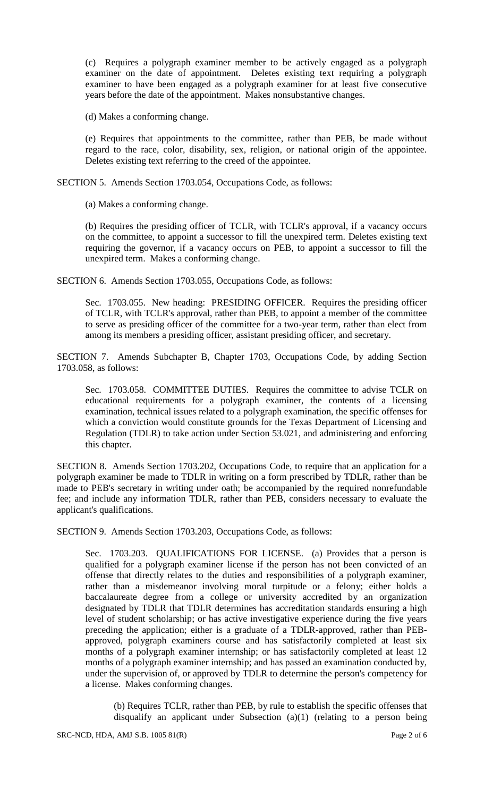(c) Requires a polygraph examiner member to be actively engaged as a polygraph examiner on the date of appointment. Deletes existing text requiring a polygraph examiner to have been engaged as a polygraph examiner for at least five consecutive years before the date of the appointment. Makes nonsubstantive changes.

(d) Makes a conforming change.

(e) Requires that appointments to the committee, rather than PEB, be made without regard to the race, color, disability, sex, religion, or national origin of the appointee. Deletes existing text referring to the creed of the appointee.

SECTION 5. Amends Section 1703.054, Occupations Code, as follows:

(a) Makes a conforming change.

(b) Requires the presiding officer of TCLR, with TCLR's approval, if a vacancy occurs on the committee, to appoint a successor to fill the unexpired term. Deletes existing text requiring the governor, if a vacancy occurs on PEB, to appoint a successor to fill the unexpired term. Makes a conforming change.

SECTION 6. Amends Section 1703.055, Occupations Code, as follows:

Sec. 1703.055. New heading: PRESIDING OFFICER. Requires the presiding officer of TCLR, with TCLR's approval, rather than PEB, to appoint a member of the committee to serve as presiding officer of the committee for a two-year term, rather than elect from among its members a presiding officer, assistant presiding officer, and secretary.

SECTION 7. Amends Subchapter B, Chapter 1703, Occupations Code, by adding Section 1703.058, as follows:

Sec. 1703.058. COMMITTEE DUTIES. Requires the committee to advise TCLR on educational requirements for a polygraph examiner, the contents of a licensing examination, technical issues related to a polygraph examination, the specific offenses for which a conviction would constitute grounds for the Texas Department of Licensing and Regulation (TDLR) to take action under Section 53.021, and administering and enforcing this chapter.

SECTION 8. Amends Section 1703.202, Occupations Code, to require that an application for a polygraph examiner be made to TDLR in writing on a form prescribed by TDLR, rather than be made to PEB's secretary in writing under oath; be accompanied by the required nonrefundable fee; and include any information TDLR, rather than PEB, considers necessary to evaluate the applicant's qualifications.

SECTION 9. Amends Section 1703.203, Occupations Code, as follows:

Sec. 1703.203. QUALIFICATIONS FOR LICENSE. (a) Provides that a person is qualified for a polygraph examiner license if the person has not been convicted of an offense that directly relates to the duties and responsibilities of a polygraph examiner, rather than a misdemeanor involving moral turpitude or a felony; either holds a baccalaureate degree from a college or university accredited by an organization designated by TDLR that TDLR determines has accreditation standards ensuring a high level of student scholarship; or has active investigative experience during the five years preceding the application; either is a graduate of a TDLR-approved, rather than PEBapproved, polygraph examiners course and has satisfactorily completed at least six months of a polygraph examiner internship; or has satisfactorily completed at least 12 months of a polygraph examiner internship; and has passed an examination conducted by, under the supervision of, or approved by TDLR to determine the person's competency for a license. Makes conforming changes.

(b) Requires TCLR, rather than PEB, by rule to establish the specific offenses that disqualify an applicant under Subsection (a)(1) (relating to a person being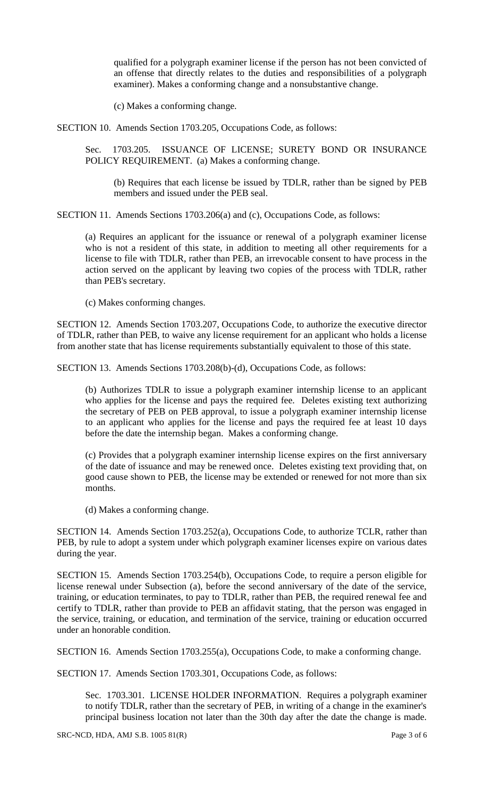qualified for a polygraph examiner license if the person has not been convicted of an offense that directly relates to the duties and responsibilities of a polygraph examiner). Makes a conforming change and a nonsubstantive change.

(c) Makes a conforming change.

SECTION 10. Amends Section 1703.205, Occupations Code, as follows:

Sec. 1703.205. ISSUANCE OF LICENSE; SURETY BOND OR INSURANCE POLICY REQUIREMENT. (a) Makes a conforming change.

(b) Requires that each license be issued by TDLR, rather than be signed by PEB members and issued under the PEB seal.

SECTION 11. Amends Sections 1703.206(a) and (c), Occupations Code, as follows:

(a) Requires an applicant for the issuance or renewal of a polygraph examiner license who is not a resident of this state, in addition to meeting all other requirements for a license to file with TDLR, rather than PEB, an irrevocable consent to have process in the action served on the applicant by leaving two copies of the process with TDLR, rather than PEB's secretary.

(c) Makes conforming changes.

SECTION 12. Amends Section 1703.207, Occupations Code, to authorize the executive director of TDLR, rather than PEB, to waive any license requirement for an applicant who holds a license from another state that has license requirements substantially equivalent to those of this state.

SECTION 13. Amends Sections 1703.208(b)-(d), Occupations Code, as follows:

(b) Authorizes TDLR to issue a polygraph examiner internship license to an applicant who applies for the license and pays the required fee. Deletes existing text authorizing the secretary of PEB on PEB approval, to issue a polygraph examiner internship license to an applicant who applies for the license and pays the required fee at least 10 days before the date the internship began. Makes a conforming change.

(c) Provides that a polygraph examiner internship license expires on the first anniversary of the date of issuance and may be renewed once. Deletes existing text providing that, on good cause shown to PEB, the license may be extended or renewed for not more than six months.

(d) Makes a conforming change.

SECTION 14. Amends Section 1703.252(a), Occupations Code, to authorize TCLR, rather than PEB, by rule to adopt a system under which polygraph examiner licenses expire on various dates during the year.

SECTION 15. Amends Section 1703.254(b), Occupations Code, to require a person eligible for license renewal under Subsection (a), before the second anniversary of the date of the service, training, or education terminates, to pay to TDLR, rather than PEB, the required renewal fee and certify to TDLR, rather than provide to PEB an affidavit stating, that the person was engaged in the service, training, or education, and termination of the service, training or education occurred under an honorable condition.

SECTION 16. Amends Section 1703.255(a), Occupations Code, to make a conforming change.

SECTION 17. Amends Section 1703.301, Occupations Code, as follows:

Sec. 1703.301. LICENSE HOLDER INFORMATION. Requires a polygraph examiner to notify TDLR, rather than the secretary of PEB, in writing of a change in the examiner's principal business location not later than the 30th day after the date the change is made.

SRC-NCD, HDA, AMJ S.B.  $1005 81(R)$  Page 3 of 6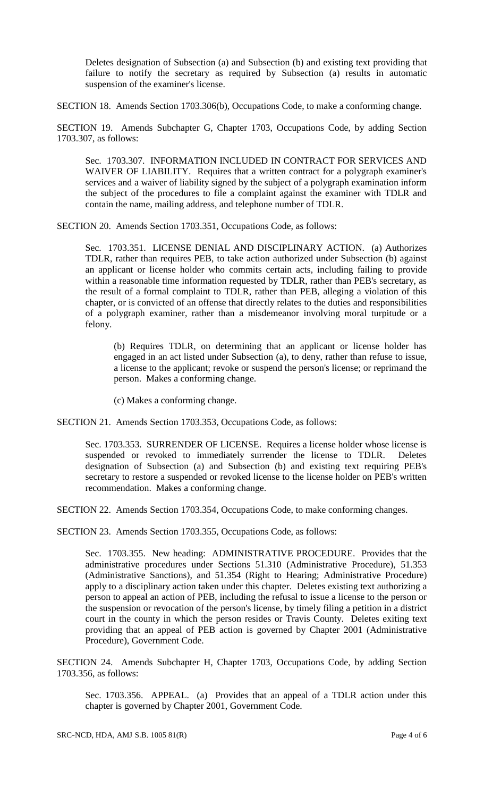Deletes designation of Subsection (a) and Subsection (b) and existing text providing that failure to notify the secretary as required by Subsection (a) results in automatic suspension of the examiner's license.

SECTION 18. Amends Section 1703.306(b), Occupations Code, to make a conforming change.

SECTION 19. Amends Subchapter G, Chapter 1703, Occupations Code, by adding Section 1703.307, as follows:

Sec. 1703.307. INFORMATION INCLUDED IN CONTRACT FOR SERVICES AND WAIVER OF LIABILITY. Requires that a written contract for a polygraph examiner's services and a waiver of liability signed by the subject of a polygraph examination inform the subject of the procedures to file a complaint against the examiner with TDLR and contain the name, mailing address, and telephone number of TDLR.

SECTION 20. Amends Section 1703.351, Occupations Code, as follows:

Sec. 1703.351. LICENSE DENIAL AND DISCIPLINARY ACTION. (a) Authorizes TDLR, rather than requires PEB, to take action authorized under Subsection (b) against an applicant or license holder who commits certain acts, including failing to provide within a reasonable time information requested by TDLR, rather than PEB's secretary, as the result of a formal complaint to TDLR, rather than PEB, alleging a violation of this chapter, or is convicted of an offense that directly relates to the duties and responsibilities of a polygraph examiner, rather than a misdemeanor involving moral turpitude or a felony.

(b) Requires TDLR, on determining that an applicant or license holder has engaged in an act listed under Subsection (a), to deny, rather than refuse to issue, a license to the applicant; revoke or suspend the person's license; or reprimand the person. Makes a conforming change.

(c) Makes a conforming change.

SECTION 21. Amends Section 1703.353, Occupations Code, as follows:

Sec. 1703.353. SURRENDER OF LICENSE. Requires a license holder whose license is suspended or revoked to immediately surrender the license to TDLR. Deletes designation of Subsection (a) and Subsection (b) and existing text requiring PEB's secretary to restore a suspended or revoked license to the license holder on PEB's written recommendation. Makes a conforming change.

SECTION 22. Amends Section 1703.354, Occupations Code, to make conforming changes.

SECTION 23. Amends Section 1703.355, Occupations Code, as follows:

Sec. 1703.355. New heading: ADMINISTRATIVE PROCEDURE. Provides that the administrative procedures under Sections 51.310 (Administrative Procedure), 51.353 (Administrative Sanctions), and 51.354 (Right to Hearing; Administrative Procedure) apply to a disciplinary action taken under this chapter. Deletes existing text authorizing a person to appeal an action of PEB, including the refusal to issue a license to the person or the suspension or revocation of the person's license, by timely filing a petition in a district court in the county in which the person resides or Travis County. Deletes exiting text providing that an appeal of PEB action is governed by Chapter 2001 (Administrative Procedure), Government Code.

SECTION 24. Amends Subchapter H, Chapter 1703, Occupations Code, by adding Section 1703.356, as follows:

Sec. 1703.356. APPEAL. (a) Provides that an appeal of a TDLR action under this chapter is governed by Chapter 2001, Government Code.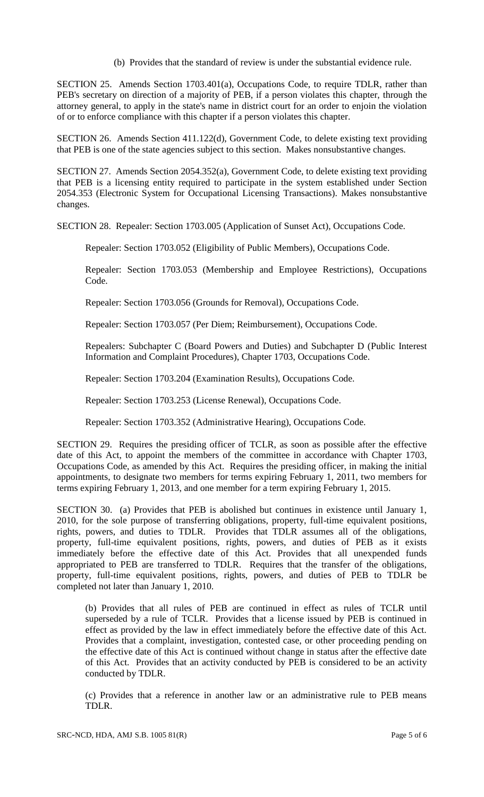(b) Provides that the standard of review is under the substantial evidence rule.

SECTION 25. Amends Section 1703.401(a), Occupations Code, to require TDLR, rather than PEB's secretary on direction of a majority of PEB, if a person violates this chapter, through the attorney general, to apply in the state's name in district court for an order to enjoin the violation of or to enforce compliance with this chapter if a person violates this chapter.

SECTION 26. Amends Section 411.122(d), Government Code, to delete existing text providing that PEB is one of the state agencies subject to this section. Makes nonsubstantive changes.

SECTION 27. Amends Section 2054.352(a), Government Code, to delete existing text providing that PEB is a licensing entity required to participate in the system established under Section 2054.353 (Electronic System for Occupational Licensing Transactions). Makes nonsubstantive changes.

SECTION 28. Repealer: Section 1703.005 (Application of Sunset Act), Occupations Code.

Repealer: Section 1703.052 (Eligibility of Public Members), Occupations Code.

Repealer: Section 1703.053 (Membership and Employee Restrictions), Occupations Code.

Repealer: Section 1703.056 (Grounds for Removal), Occupations Code.

Repealer: Section 1703.057 (Per Diem; Reimbursement), Occupations Code.

Repealers: Subchapter C (Board Powers and Duties) and Subchapter D (Public Interest Information and Complaint Procedures), Chapter 1703, Occupations Code.

Repealer: Section 1703.204 (Examination Results), Occupations Code.

Repealer: Section 1703.253 (License Renewal), Occupations Code.

Repealer: Section 1703.352 (Administrative Hearing), Occupations Code.

SECTION 29. Requires the presiding officer of TCLR, as soon as possible after the effective date of this Act, to appoint the members of the committee in accordance with Chapter 1703, Occupations Code, as amended by this Act. Requires the presiding officer, in making the initial appointments, to designate two members for terms expiring February 1, 2011, two members for terms expiring February 1, 2013, and one member for a term expiring February 1, 2015.

SECTION 30. (a) Provides that PEB is abolished but continues in existence until January 1, 2010, for the sole purpose of transferring obligations, property, full-time equivalent positions, rights, powers, and duties to TDLR. Provides that TDLR assumes all of the obligations, property, full-time equivalent positions, rights, powers, and duties of PEB as it exists immediately before the effective date of this Act. Provides that all unexpended funds appropriated to PEB are transferred to TDLR. Requires that the transfer of the obligations, property, full-time equivalent positions, rights, powers, and duties of PEB to TDLR be completed not later than January 1, 2010.

(b) Provides that all rules of PEB are continued in effect as rules of TCLR until superseded by a rule of TCLR. Provides that a license issued by PEB is continued in effect as provided by the law in effect immediately before the effective date of this Act. Provides that a complaint, investigation, contested case, or other proceeding pending on the effective date of this Act is continued without change in status after the effective date of this Act. Provides that an activity conducted by PEB is considered to be an activity conducted by TDLR.

(c) Provides that a reference in another law or an administrative rule to PEB means TDLR.